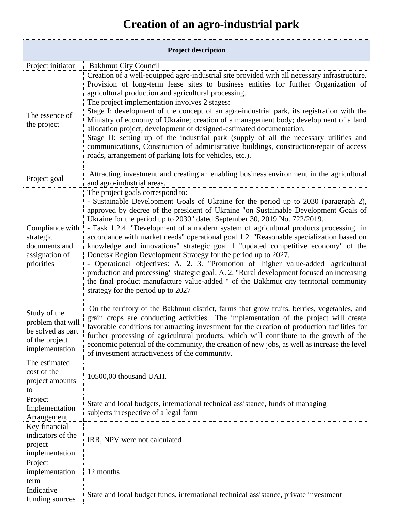## **Creation of an agro-industrial park**

| <b>Project description</b>                                                                                  |                                                                                                                                                                                                                                                                                                                                                                                                                                                                                                                                                                                                                                                                                                                                                                                                                                                                                                                                                      |
|-------------------------------------------------------------------------------------------------------------|------------------------------------------------------------------------------------------------------------------------------------------------------------------------------------------------------------------------------------------------------------------------------------------------------------------------------------------------------------------------------------------------------------------------------------------------------------------------------------------------------------------------------------------------------------------------------------------------------------------------------------------------------------------------------------------------------------------------------------------------------------------------------------------------------------------------------------------------------------------------------------------------------------------------------------------------------|
| Project initiator                                                                                           | <b>Bakhmut City Council</b>                                                                                                                                                                                                                                                                                                                                                                                                                                                                                                                                                                                                                                                                                                                                                                                                                                                                                                                          |
| The essence of<br>the project                                                                               | Creation of a well-equipped agro-industrial site provided with all necessary infrastructure.<br>Provision of long-term lease sites to business entities for further Organization of<br>agricultural production and agricultural processing.<br>The project implementation involves 2 stages:<br>Stage I: development of the concept of an agro-industrial park, its registration with the<br>Ministry of economy of Ukraine; creation of a management body; development of a land<br>allocation project, development of designed-estimated documentation.<br>Stage II: setting up of the industrial park (supply of all the necessary utilities and<br>communications, Construction of administrative buildings, construction/repair of access<br>roads, arrangement of parking lots for vehicles, etc.).                                                                                                                                            |
| Project goal                                                                                                | Attracting investment and creating an enabling business environment in the agricultural<br>and agro-industrial areas.                                                                                                                                                                                                                                                                                                                                                                                                                                                                                                                                                                                                                                                                                                                                                                                                                                |
| Compliance with<br>strategic<br>documents and<br>assignation of<br>priorities                               | The project goals correspond to:<br>- Sustainable Development Goals of Ukraine for the period up to 2030 (paragraph 2),<br>approved by decree of the president of Ukraine "on Sustainable Development Goals of<br>Ukraine for the period up to 2030" dated September 30, 2019 No. 722/2019.<br>- Task 1.2.4. "Development of a modern system of agricultural products processing in<br>accordance with market needs" operational goal 1.2. "Reasonable specialization based on<br>knowledge and innovations" strategic goal 1 "updated competitive economy" of the<br>Donetsk Region Development Strategy for the period up to 2027.<br>- Operational objectives: A. 2. 3. "Promotion of higher value-added agricultural<br>production and processing" strategic goal: A. 2. "Rural development focused on increasing<br>the final product manufacture value-added " of the Bakhmut city territorial community<br>strategy for the period up to 2027 |
| Study of the<br>problem that will<br>be solved as part<br>of the project<br>implementation<br>The estimated | On the territory of the Bakhmut district, farms that grow fruits, berries, vegetables, and<br>grain crops are conducting activities. The implementation of the project will create<br>favorable conditions for attracting investment for the creation of production facilities for<br>further processing of agricultural products, which will contribute to the growth of the<br>economic potential of the community, the creation of new jobs, as well as increase the level<br>of investment attractiveness of the community.                                                                                                                                                                                                                                                                                                                                                                                                                      |
| cost of the<br>project amounts<br>to                                                                        | 10500,00 thousand UAH.                                                                                                                                                                                                                                                                                                                                                                                                                                                                                                                                                                                                                                                                                                                                                                                                                                                                                                                               |
| Project<br>Implementation<br>Arrangement                                                                    | State and local budgets, international technical assistance, funds of managing<br>subjects irrespective of a legal form                                                                                                                                                                                                                                                                                                                                                                                                                                                                                                                                                                                                                                                                                                                                                                                                                              |
| Key financial<br>indicators of the<br>project<br>implementation                                             | IRR, NPV were not calculated                                                                                                                                                                                                                                                                                                                                                                                                                                                                                                                                                                                                                                                                                                                                                                                                                                                                                                                         |
| Project<br>implementation<br>term                                                                           | 12 months                                                                                                                                                                                                                                                                                                                                                                                                                                                                                                                                                                                                                                                                                                                                                                                                                                                                                                                                            |
| Indicative<br>funding sources                                                                               | State and local budget funds, international technical assistance, private investment                                                                                                                                                                                                                                                                                                                                                                                                                                                                                                                                                                                                                                                                                                                                                                                                                                                                 |